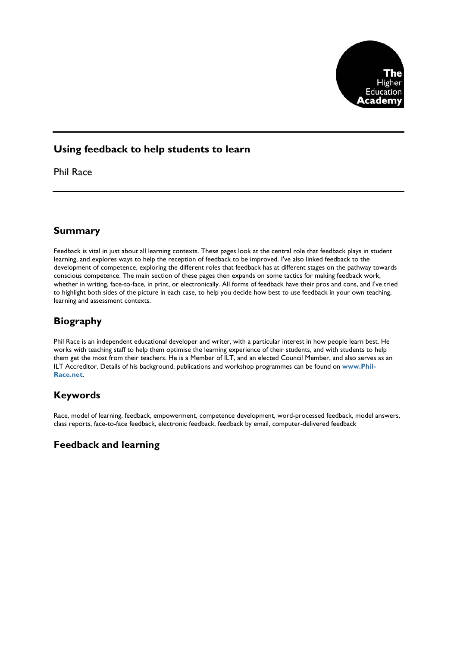

# **Using feedback to help students to learn**

Phil Race

# **Summary**

Feedback is vital in just about all learning contexts. These pages look at the central role that feedback plays in student learning, and explores ways to help the reception of feedback to be improved. I've also linked feedback to the development of competence, exploring the different roles that feedback has at different stages on the pathway towards conscious competence. The main section of these pages then expands on some tactics for making feedback work, whether in writing, face-to-face, in print, or electronically. All forms of feedback have their pros and cons, and I've tried to highlight both sides of the picture in each case, to help you decide how best to use feedback in your own teaching, learning and assessment contexts.

# **Biography**

Phil Race is an independent educational developer and writer, with a particular interest in how people learn best. He works with teaching staff to help them optimise the learning experience of their students, and with students to help them get the most from their teachers. He is a Member of ILT, and an elected Council Member, and also serves as an ILT Accreditor. Details of his background, publications and workshop programmes can be found on **www.Phil-Race.net**.

# **Keywords**

Race, model of learning, feedback, empowerment, competence development, word-processed feedback, model answers, class reports, face-to-face feedback, electronic feedback, feedback by email, computer-delivered feedback

## **Feedback and learning**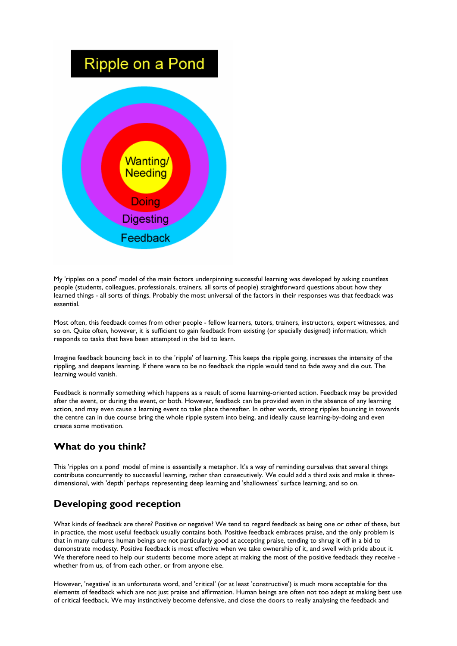

My 'ripples on a pond' model of the main factors underpinning successful learning was developed by asking countless people (students, colleagues, professionals, trainers, all sorts of people) straightforward questions about how they learned things - all sorts of things. Probably the most universal of the factors in their responses was that feedback was essential.

Most often, this feedback comes from other people - fellow learners, tutors, trainers, instructors, expert witnesses, and so on. Quite often, however, it is sufficient to gain feedback from existing (or specially designed) information, which responds to tasks that have been attempted in the bid to learn.

Imagine feedback bouncing back in to the 'ripple' of learning. This keeps the ripple going, increases the intensity of the rippling, and deepens learning. If there were to be no feedback the ripple would tend to fade away and die out. The learning would vanish.

Feedback is normally something which happens as a result of some learning-oriented action. Feedback may be provided after the event, or during the event, or both. However, feedback can be provided even in the absence of any learning action, and may even cause a learning event to take place thereafter. In other words, strong ripples bouncing in towards the centre can in due course bring the whole ripple system into being, and ideally cause learning-by-doing and even create some motivation.

# **What do you think?**

This 'ripples on a pond' model of mine is essentially a metaphor. It's a way of reminding ourselves that several things contribute concurrently to successful learning, rather than consecutively. We could add a third axis and make it threedimensional, with 'depth' perhaps representing deep learning and 'shallowness' surface learning, and so on.

# **Developing good reception**

What kinds of feedback are there? Positive or negative? We tend to regard feedback as being one or other of these, but in practice, the most useful feedback usually contains both. Positive feedback embraces praise, and the only problem is that in many cultures human beings are not particularly good at accepting praise, tending to shrug it off in a bid to demonstrate modesty. Positive feedback is most effective when we take ownership of it, and swell with pride about it. We therefore need to help our students become more adept at making the most of the positive feedback they receive whether from us, of from each other, or from anyone else.

However, 'negative' is an unfortunate word, and 'critical' (or at least 'constructive') is much more acceptable for the elements of feedback which are not just praise and affirmation. Human beings are often not too adept at making best use of critical feedback. We may instinctively become defensive, and close the doors to really analysing the feedback and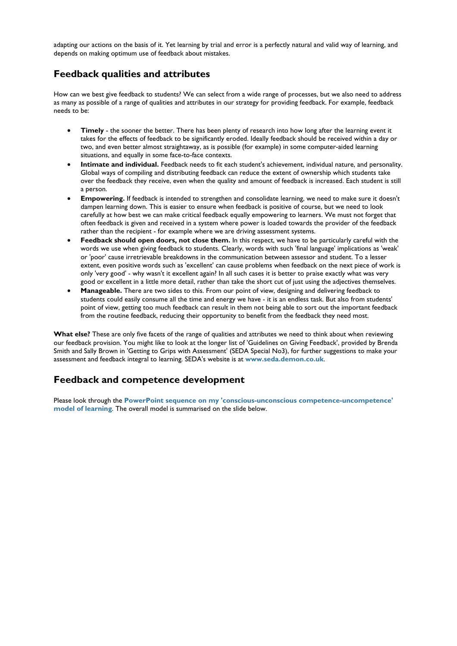adapting our actions on the basis of it. Yet learning by trial and error is a perfectly natural and valid way of learning, and depends on making optimum use of feedback about mistakes.

# **Feedback qualities and attributes**

How can we best give feedback to students? We can select from a wide range of processes, but we also need to address as many as possible of a range of qualities and attributes in our strategy for providing feedback. For example, feedback needs to be:

- **Timely** the sooner the better. There has been plenty of research into how long after the learning event it takes for the effects of feedback to be significantly eroded. Ideally feedback should be received within a day or two, and even better almost straightaway, as is possible (for example) in some computer-aided learning situations, and equally in some face-to-face contexts.
- **Intimate and individual.** Feedback needs to fit each student's achievement, individual nature, and personality. Global ways of compiling and distributing feedback can reduce the extent of ownership which students take over the feedback they receive, even when the quality and amount of feedback is increased. Each student is still a person.
- **Empowering.** If feedback is intended to strengthen and consolidate learning, we need to make sure it doesn't dampen learning down. This is easier to ensure when feedback is positive of course, but we need to look carefully at how best we can make critical feedback equally empowering to learners. We must not forget that often feedback is given and received in a system where power is loaded towards the provider of the feedback rather than the recipient - for example where we are driving assessment systems.
- **Feedback should open doors, not close them.** In this respect, we have to be particularly careful with the words we use when giving feedback to students. Clearly, words with such 'final language' implications as 'weak' or 'poor' cause irretrievable breakdowns in the communication between assessor and student. To a lesser extent, even positive words such as 'excellent' can cause problems when feedback on the next piece of work is only 'very good' - why wasn't it excellent again? In all such cases it is better to praise exactly what was very good or excellent in a little more detail, rather than take the short cut of just using the adjectives themselves.
- **Manageable.** There are two sides to this. From our point of view, designing and delivering feedback to students could easily consume all the time and energy we have - it is an endless task. But also from students' point of view, getting too much feedback can result in them not being able to sort out the important feedback from the routine feedback, reducing their opportunity to benefit from the feedback they need most.

What else? These are only five facets of the range of qualities and attributes we need to think about when reviewing our feedback provision. You might like to look at the longer list of 'Guidelines on Giving Feedback', provided by Brenda Smith and Sally Brown in 'Getting to Grips with Assessment' (SEDA Special No3), for further suggestions to make your assessment and feedback integral to learning. SEDA's website is at **www.seda.demon.co.uk**.

## **Feedback and competence development**

Please look through the **PowerPoint sequence on my 'conscious-unconscious competence-uncompetence' model of learning**. The overall model is summarised on the slide below.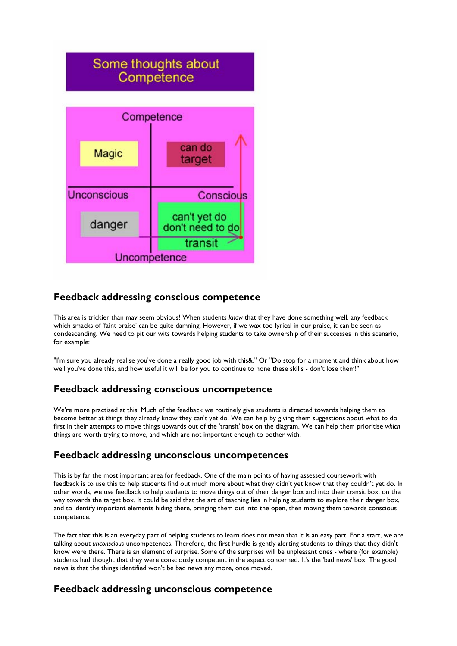

## **Feedback addressing conscious competence**

This area is trickier than may seem obvious! When students *know* that they have done something well, any feedback which smacks of 'faint praise' can be quite damning. However, if we wax too lyrical in our praise, it can be seen as condescending. We need to pit our wits towards helping students to take ownership of their successes in this scenario, for example:

"I'm sure you already realise you've done a really good job with this&." Or "Do stop for a moment and think about how well you've done this, and how useful it will be for you to continue to hone these skills - don't lose them!"

### **Feedback addressing conscious uncompetence**

We're more practised at this. Much of the feedback we routinely give students is directed towards helping them to become better at things they already know they can't yet do. We can help by giving them suggestions about what to do first in their attempts to move things upwards out of the 'transit' box on the diagram. We can help them prioritise *which* things are worth trying to move, and which are not important enough to bother with.

### **Feedback addressing unconscious uncompetences**

This is by far the most important area for feedback. One of the main points of having assessed coursework with feedback is to use this to help students find out much more about what they didn't yet know that they couldn't yet do. In other words, we use feedback to help students to move things out of their danger box and into their transit box, on the way towards the target box. It could be said that the art of teaching lies in helping students to explore their danger box, and to identify important elements hiding there, bringing them out into the open, then moving them towards conscious competence.

The fact that this is an everyday part of helping students to learn does not mean that it is an easy part. For a start, we are talking about *unconscious* uncompetences. Therefore, the first hurdle is gently alerting students to things that they didn't know were there. There is an element of surprise. Some of the surprises will be unpleasant ones - where (for example) students had thought that they were consciously competent in the aspect concerned. It's the 'bad news' box. The good news is that the things identified won't be bad news any more, once moved.

## **Feedback addressing unconscious competence**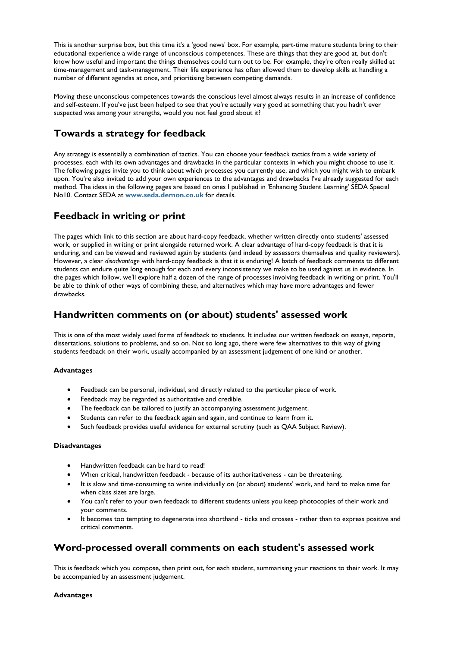This is another surprise box, but this time it's a 'good news' box. For example, part-time mature students bring to their educational experience a wide range of unconscious competences. These are things that they are good at, but don't know how useful and important the things themselves could turn out to be. For example, they're often really skilled at time-management and task-management. Their life experience has often allowed them to develop skills at handling a number of different agendas at once, and prioritising between competing demands.

Moving these unconscious competences towards the conscious level almost always results in an increase of confidence and self-esteem. If you've just been helped to see that you're actually very good at something that you hadn't ever suspected was among your strengths, would you not feel good about it?

# **Towards a strategy for feedback**

Any strategy is essentially a combination of tactics. You can choose your feedback tactics from a wide variety of processes, each with its own advantages and drawbacks in the particular contexts in which you might choose to use it. The following pages invite you to think about which processes you currently use, and which you might wish to embark upon. You're also invited to add your own experiences to the advantages and drawbacks I've already suggested for each method. The ideas in the following pages are based on ones I published in 'Enhancing Student Learning' SEDA Special No10. Contact SEDA at **www.seda.demon.co.uk** for details.

## **Feedback in writing or print**

The pages which link to this section are about hard-copy feedback, whether written directly onto students' assessed work, or supplied in writing or print alongside returned work. A clear advantage of hard-copy feedback is that it is enduring, and can be viewed and reviewed again by students (and indeed by assessors themselves and quality reviewers). However, a clear *disadvantage* with hard-copy feedback is that it is enduring! A batch of feedback comments to different students can endure quite long enough for each and every inconsistency we make to be used against us in evidence. In the pages which follow, we'll explore half a dozen of the range of processes involving feedback in writing or print. You'll be able to think of other ways of combining these, and alternatives which may have more advantages and fewer drawbacks.

## **Handwritten comments on (or about) students' assessed work**

This is one of the most widely used forms of feedback to students. It includes our written feedback on essays, reports, dissertations, solutions to problems, and so on. Not so long ago, there were few alternatives to this way of giving students feedback on their work, usually accompanied by an assessment judgement of one kind or another.

### **Advantages**

- Feedback can be personal, individual, and directly related to the particular piece of work.
- Feedback may be regarded as authoritative and credible.
- The feedback can be tailored to justify an accompanying assessment judgement.
- Students can refer to the feedback again and again, and continue to learn from it.
- Such feedback provides useful evidence for external scrutiny (such as OAA Subject Review).

#### **Disadvantages**

- Handwritten feedback can be hard to read!
- When critical, handwritten feedback because of its authoritativeness can be threatening.
- It is slow and time-consuming to write individually on (or about) students' work, and hard to make time for when class sizes are large.
- You can't refer to your own feedback to different students unless you keep photocopies of their work and your comments.
- It becomes too tempting to degenerate into shorthand ticks and crosses rather than to express positive and critical comments.

## **Word-processed overall comments on each student's assessed work**

This is feedback which you compose, then print out, for each student, summarising your reactions to their work. It may be accompanied by an assessment judgement.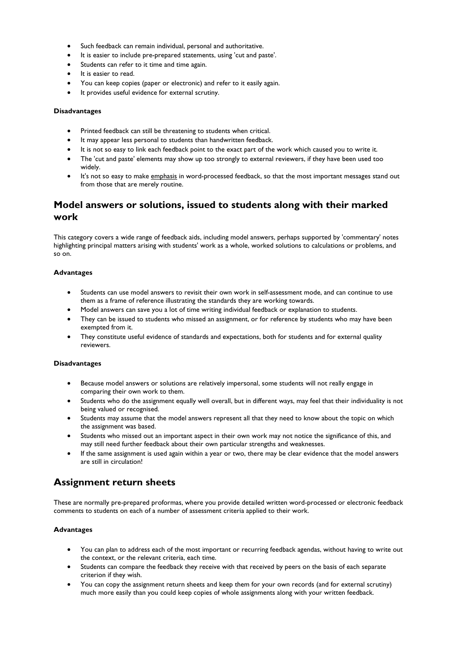- Such feedback can remain individual, personal and authoritative.
- It is easier to include pre-prepared statements, using 'cut and paste'.
- Students can refer to it time and time again.
- It is easier to read.
- You can keep copies (paper or electronic) and refer to it easily again.
- It provides useful evidence for external scrutiny.

- Printed feedback can still be threatening to students when critical.
- It may appear less personal to students than handwritten feedback.
- It is not so easy to link each feedback point to the exact part of the work which caused you to write it.
- The 'cut and paste' elements may show up too strongly to external reviewers, if they have been used too widely.
- It's not so easy to make emphasis in word-processed feedback, so that the most important messages stand out from those that are merely routine.

## **Model answers or solutions, issued to students along with their marked work**

This category covers a wide range of feedback aids, including model answers, perhaps supported by 'commentary' notes highlighting principal matters arising with students' work as a whole, worked solutions to calculations or problems, and so on.

#### **Advantages**

- Students can use model answers to revisit their own work in self-assessment mode, and can continue to use them as a frame of reference illustrating the standards they are working towards.
- Model answers can save you a lot of time writing individual feedback or explanation to students.
- They can be issued to students who missed an assignment, or for reference by students who may have been exempted from it.
- They constitute useful evidence of standards and expectations, both for students and for external quality reviewers.

#### **Disadvantages**

- Because model answers or solutions are relatively impersonal, some students will not really engage in comparing their own work to them.
- Students who do the assignment equally well overall, but in different ways, may feel that their individuality is not being valued or recognised.
- Students may assume that the model answers represent all that they need to know about the topic on which the assignment was based.
- Students who missed out an important aspect in their own work may not notice the significance of this, and may still need further feedback about their own particular strengths and weaknesses.
- If the same assignment is used again within a year or two, there may be clear evidence that the model answers are still in circulation!

## **Assignment return sheets**

These are normally pre-prepared proformas, where you provide detailed written word-processed or electronic feedback comments to students on each of a number of assessment criteria applied to their work.

- You can plan to address each of the most important or recurring feedback agendas, without having to write out the context, or the relevant criteria, each time.
- Students can compare the feedback they receive with that received by peers on the basis of each separate criterion if they wish.
- You can copy the assignment return sheets and keep them for your own records (and for external scrutiny) much more easily than you could keep copies of whole assignments along with your written feedback.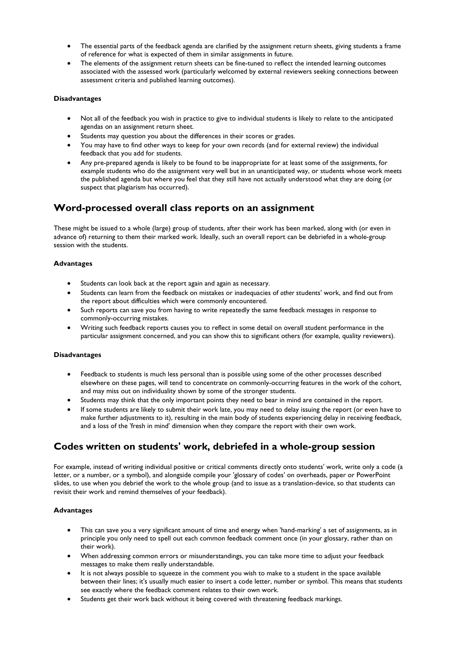- The essential parts of the feedback agenda are clarified by the assignment return sheets, giving students a frame of reference for what is expected of them in similar assignments in future.
- The elements of the assignment return sheets can be fine-tuned to reflect the intended learning outcomes associated with the assessed work (particularly welcomed by external reviewers seeking connections between assessment criteria and published learning outcomes).

- Not all of the feedback you wish in practice to give to individual students is likely to relate to the anticipated agendas on an assignment return sheet.
- Students may question you about the differences in their scores or grades.
- You may have to find other ways to keep for your own records (and for external review) the individual feedback that you add for students.
- Any pre-prepared agenda is likely to be found to be inappropriate for at least some of the assignments, for example students who do the assignment very well but in an unanticipated way, or students whose work meets the published agenda but where you feel that they still have not actually understood what they are doing (or suspect that plagiarism has occurred).

### **Word-processed overall class reports on an assignment**

These might be issued to a whole (large) group of students, after their work has been marked, along with (or even in advance of) returning to them their marked work. Ideally, such an overall report can be debriefed in a whole-group session with the students.

### **Advantages**

- Students can look back at the report again and again as necessary.
- Students can learn from the feedback on mistakes or inadequacies of *other* students' work, and find out from the report about difficulties which were commonly encountered.
- Such reports can save you from having to write repeatedly the same feedback messages in response to commonly-occurring mistakes.
- Writing such feedback reports causes you to reflect in some detail on overall student performance in the particular assignment concerned, and you can show this to significant others (for example, quality reviewers).

#### **Disadvantages**

- Feedback to students is much less personal than is possible using some of the other processes described elsewhere on these pages, will tend to concentrate on commonly-occurring features in the work of the cohort, and may miss out on individuality shown by some of the stronger students.
- Students may think that the only important points they need to bear in mind are contained in the report.
- If some students are likely to submit their work late, you may need to delay issuing the report (or even have to make further adjustments to it), resulting in the main body of students experiencing delay in receiving feedback, and a loss of the 'fresh in mind' dimension when they compare the report with their own work.

## **Codes written on students' work, debriefed in a whole-group session**

For example, instead of writing individual positive or critical comments directly onto students' work, write only a code (a letter, or a number, or a symbol), and alongside compile your 'glossary of codes' on overheads, paper or PowerPoint slides, to use when you debrief the work to the whole group (and to issue as a translation-device, so that students can revisit their work and remind themselves of your feedback).

- This can save you a very significant amount of time and energy when 'hand-marking' a set of assignments, as in principle you only need to spell out each common feedback comment once (in your glossary, rather than on their work).
- When addressing common errors or misunderstandings, you can take more time to adjust your feedback messages to make them really understandable.
- It is not always possible to squeeze in the comment you wish to make to a student in the space available between their lines; it's usually much easier to insert a code letter, number or symbol. This means that students see exactly where the feedback comment relates to their own work.
- Students get their work back without it being covered with threatening feedback markings.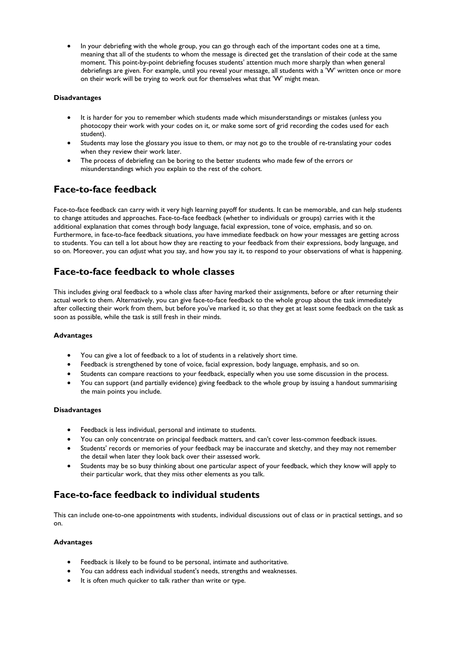• In your debriefing with the whole group, you can go through each of the important codes one at a time, meaning that all of the students to whom the message is directed get the translation of their code at the same moment. This point-by-point debriefing focuses students' attention much more sharply than when general debriefings are given. For example, until you reveal your message, all students with a 'W' written once or more on their work will be trying to work out for themselves what that 'W' might mean.

#### **Disadvantages**

- It is harder for you to remember which students made which misunderstandings or mistakes (unless you photocopy their work with your codes on it, or make some sort of grid recording the codes used for each student).
- Students may lose the glossary you issue to them, or may not go to the trouble of re-translating your codes when they review their work later.
- The process of debriefing can be boring to the better students who made few of the errors or misunderstandings which you explain to the rest of the cohort.

### **Face-to-face feedback**

Face-to-face feedback can carry with it very high learning payoff for students. It can be memorable, and can help students to change attitudes and approaches. Face-to-face feedback (whether to individuals or groups) carries with it the additional explanation that comes through body language, facial expression, tone of voice, emphasis, and so on. Furthermore, in face-to-face feedback situations, *you* have immediate feedback on how your messages are getting across to students. You can tell a lot about how they are reacting to your feedback from their expressions, body language, and so on. Moreover, you can *adjust* what you say, and how you say it, to respond to your observations of what is happening.

## **Face-to-face feedback to whole classes**

This includes giving oral feedback to a whole class after having marked their assignments, before or after returning their actual work to them. Alternatively, you can give face-to-face feedback to the whole group about the task immediately after collecting their work from them, but before you've marked it, so that they get at least some feedback on the task as soon as possible, while the task is still fresh in their minds.

#### **Advantages**

- You can give a lot of feedback to a lot of students in a relatively short time.
- Feedback is strengthened by tone of voice, facial expression, body language, emphasis, and so on.
- Students can compare reactions to your feedback, especially when you use some discussion in the process.
- You can support (and partially evidence) giving feedback to the whole group by issuing a handout summarising the main points you include.

#### **Disadvantages**

- Feedback is less individual, personal and intimate to students.
- You can only concentrate on principal feedback matters, and can't cover less-common feedback issues.
- Students' records or memories of your feedback may be inaccurate and sketchy, and they may not remember the detail when later they look back over their assessed work.
- Students may be so busy thinking about one particular aspect of your feedback, which they know will apply to their particular work, that they miss other elements as you talk.

## **Face-to-face feedback to individual students**

This can include one-to-one appointments with students, individual discussions out of class or in practical settings, and so on.

- Feedback is likely to be found to be personal, intimate and authoritative.
- You can address each individual student's needs, strengths and weaknesses.
- It is often much quicker to talk rather than write or type.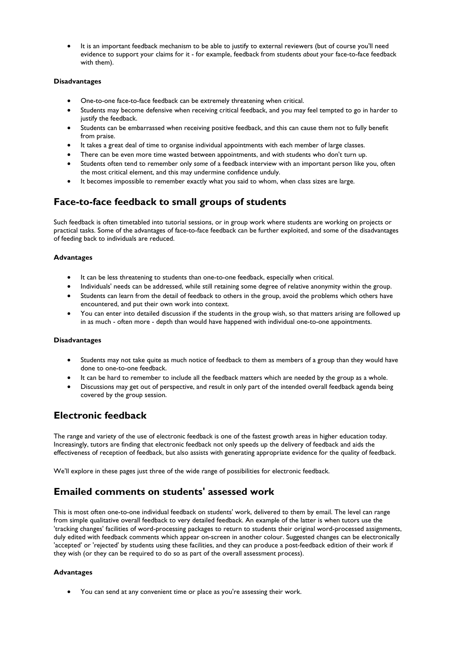• It is an important feedback mechanism to be able to justify to external reviewers (but of course you'll need evidence to support your claims for it - for example, feedback from students *about* your face-to-face feedback with them).

### **Disadvantages**

- One-to-one face-to-face feedback can be extremely threatening when critical.
- Students may become defensive when receiving critical feedback, and you may feel tempted to go in harder to justify the feedback.
- Students can be embarrassed when receiving positive feedback, and this can cause them not to fully benefit from praise.
- It takes a great deal of time to organise individual appointments with each member of large classes.
- There can be even more time wasted between appointments, and with students who don't turn up.
- Students often tend to remember only *some* of a feedback interview with an important person like you, often the most critical element, and this may undermine confidence unduly.
- It becomes impossible to remember exactly what you said to whom, when class sizes are large.

## **Face-to-face feedback to small groups of students**

Such feedback is often timetabled into tutorial sessions, or in group work where students are working on projects or practical tasks. Some of the advantages of face-to-face feedback can be further exploited, and some of the disadvantages of feeding back to individuals are reduced.

### **Advantages**

- It can be less threatening to students than one-to-one feedback, especially when critical.
- Individuals' needs can be addressed, while still retaining some degree of relative anonymity within the group.
- Students can learn from the detail of feedback to others in the group, avoid the problems which others have encountered, and put their own work into context.
- You can enter into detailed discussion if the students in the group wish, so that matters arising are followed up in as much - often more - depth than would have happened with individual one-to-one appointments.

### **Disadvantages**

- Students may not take quite as much notice of feedback to them as members of a group than they would have done to one-to-one feedback.
- It can be hard to remember to include all the feedback matters which are needed by the group as a whole.
- Discussions may get out of perspective, and result in only part of the intended overall feedback agenda being covered by the group session.

## **Electronic feedback**

The range and variety of the use of electronic feedback is one of the fastest growth areas in higher education today. Increasingly, tutors are finding that electronic feedback not only speeds up the delivery of feedback and aids the effectiveness of reception of feedback, but also assists with generating appropriate evidence for the quality of feedback.

We'll explore in these pages just three of the wide range of possibilities for electronic feedback.

## **Emailed comments on students' assessed work**

This is most often one-to-one individual feedback on students' work, delivered to them by email. The level can range from simple qualitative overall feedback to very detailed feedback. An example of the latter is when tutors use the 'tracking changes' facilities of word-processing packages to return to students their original word-processed assignments, duly edited with feedback comments which appear on-screen in another colour. Suggested changes can be electronically 'accepted' or 'rejected' by students using these facilities, and they can produce a post-feedback edition of their work if they wish (or they can be required to do so as part of the overall assessment process).

### **Advantages**

• You can send at any convenient time or place as you're assessing their work.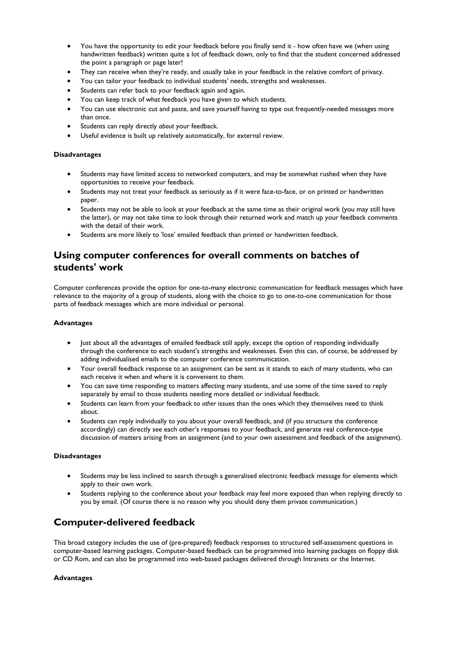- You have the opportunity to edit your feedback before you finally send it how often have we (when using handwritten feedback) written quite a lot of feedback down, only to find that the student concerned addressed the point a paragraph or page later!
- They can receive when they're ready, and usually take in your feedback in the relative comfort of privacy.
- You can tailor your feedback to individual students' needs, strengths and weaknesses.
- Students can refer back to your feedback again and again.
- You can keep track of what feedback you have given to which students.
- You can use electronic cut and paste, and save yourself having to type out frequently-needed messages more than once.
- Students can reply directly *about* your feedback.
- Useful evidence is built up relatively automatically, for external review.

- Students may have limited access to networked computers, and may be somewhat rushed when they have opportunities to receive your feedback.
- Students may not treat your feedback as seriously as if it were face-to-face, or on printed or handwritten paper.
- Students may not be able to look at your feedback at the same time as their original work (you may still have the latter), or may not take time to look through their returned work and match up your feedback comments with the detail of their work.
- Students are more likely to 'lose' emailed feedback than printed or handwritten feedback.

## **Using computer conferences for overall comments on batches of students' work**

Computer conferences provide the option for one-to-many electronic communication for feedback messages which have relevance to the majority of a group of students, along with the choice to go to one-to-one communication for those parts of feedback messages which are more individual or personal.

#### **Advantages**

- Just about all the advantages of emailed feedback still apply, except the option of responding individually through the conference to each student's strengths and weaknesses. Even this can, of course, be addressed by adding individualised emails to the computer conference communication.
- Your overall feedback response to an assignment can be sent as it stands to each of many students, who can each receive it when and where it is convenient to them.
- You can save time responding to matters affecting many students, and use some of the time saved to reply separately by email to those students needing more detailed or individual feedback.
- Students can learn from your feedback to *other* issues than the ones which they themselves need to think about.
- Students can reply individually to you about your overall feedback, and (if you structure the conference accordingly) can directly see each other's responses to your feedback, and generate real conference-type discussion of matters arising from an assignment (and to your own assessment and feedback of the assignment).

#### **Disadvantages**

- Students may be less inclined to search through a generalised electronic feedback message for elements which apply to their own work.
- Students replying to the conference about your feedback may feel more exposed than when replying directly to you by email. (Of course there is no reason why you should deny them private communication.)

## **Computer-delivered feedback**

This broad category includes the use of (pre-prepared) feedback responses to structured self-assessment questions in computer-based learning packages. Computer-based feedback can be programmed into learning packages on floppy disk or CD Rom, and can also be programmed into web-based packages delivered through Intranets or the Internet.